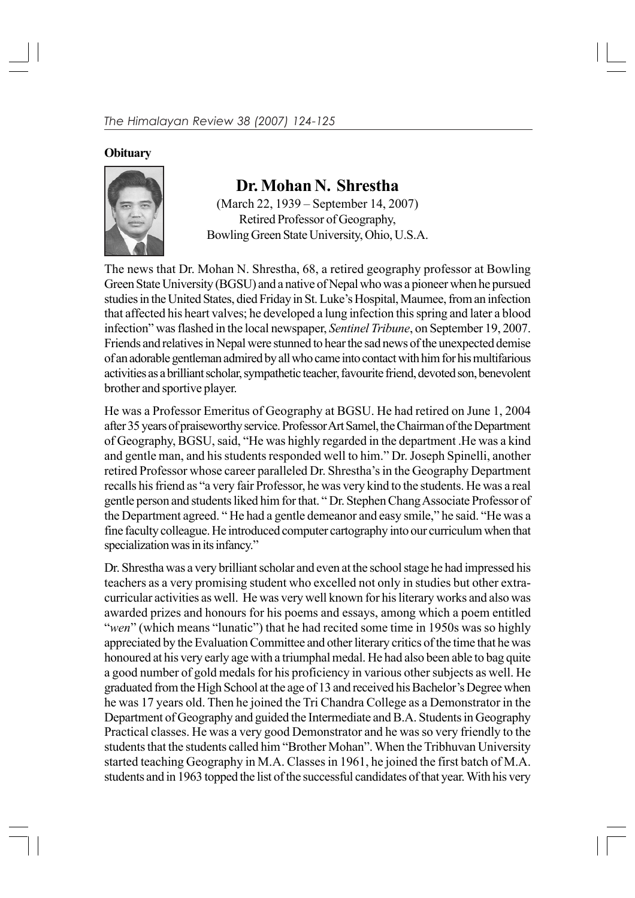## **Obituary**



## **Dr. Mohan N. Shrestha**

(March 22, 1939 – September 14, 2007) Retired Professor of Geography, Bowling Green State University, Ohio, U.S.A.

The news that Dr. Mohan N. Shrestha, 68, a retired geography professor at Bowling Green State University (BGSU) and a native of Nepal who was a pioneer when he pursued studies in the United States, died Friday in St. Luke's Hospital, Maumee, from an infection that affected his heart valves; he developed a lung infection this spring and later a blood infection" was flashed in the local newspaper, *Sentinel Tribune*, on September 19, 2007. Friends and relatives in Nepal were stunned to hear the sad news of the unexpected demise of an adorable gentleman admired by all who came into contact with him for his multifarious activities as a brilliant scholar, sympathetic teacher, favourite friend, devoted son, benevolent brother and sportive player.

He was a Professor Emeritus of Geography at BGSU. He had retired on June 1, 2004 after 35 years of praiseworthy service. Professor Art Samel, the Chairman of the Department of Geography, BGSU, said, "He was highly regarded in the department .He was a kind and gentle man, and his students responded well to him." Dr. Joseph Spinelli, another retired Professor whose career paralleled Dr. Shrestha's in the Geography Department recalls his friend as "a very fair Professor, he was very kind to the students. He was a real gentle person and students liked him for that. " Dr. Stephen Chang Associate Professor of the Department agreed. " He had a gentle demeanor and easy smile," he said. "He was a fine faculty colleague. He introduced computer cartography into our curriculum when that specialization was in its infancy."

Dr. Shrestha was a very brilliant scholar and even at the school stage he had impressed his teachers as a very promising student who excelled not only in studies but other extracurricular activities as well. He was very well known for his literary works and also was awarded prizes and honours for his poems and essays, among which a poem entitled "*wen*" (which means "lunatic") that he had recited some time in 1950s was so highly appreciated by the Evaluation Committee and other literary critics of the time that he was honoured at his very early age with a triumphal medal. He had also been able to bag quite a good number of gold medals for his proficiency in various other subjects as well. He graduated from the High School at the age of 13 and received his Bachelor's Degree when he was 17 years old. Then he joined the Tri Chandra College as a Demonstrator in the Department of Geography and guided the Intermediate and B.A. Students in Geography Practical classes. He was a very good Demonstrator and he was so very friendly to the students that the students called him "Brother Mohan". When the Tribhuvan University started teaching Geography in M.A. Classes in 1961, he joined the first batch of M.A. students and in 1963 topped the list of the successful candidates of that year. With his very